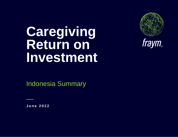# **Caregiving Return on Investment**



Indonesia Summary

**J u n e 2022**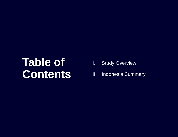## **Table of Contents**

- I. Study Overview
- II. Indonesia Summary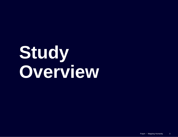# **Study Overview**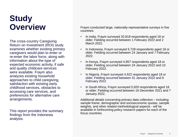## **Study Overview**

The cross-country Caregiving Return on Investment (ROI) study examines whether existing primary caregivers would plan to enter or re-enter the labor force, along with information about the type of expected economic activity, if safe and quality childcare services were available. Fraym also analyzes existing household approaches to child caregiving, satisfaction with existing early childhood services, obstacles to accessing care services, and preferences for alternative care arrangements.

This report provides the summary findings from the Indonesia analysis.

Fraym conducted large, nationally-representative surveys in five countries:

- In India, Fraym surveyed 20,818 respondents aged 18 or older. Fielding occurred between 1 February 2022 and 2 March 2022.
- In Indonesia, Fraym surveyed 5,728 respondents aged 18 or older. Fielding occurred between 24 January and 7 February 2022.
- In Kenya, Fraym surveyed 4,857 respondents aged 18 or older. Fielding occurred between 24 January 2022 and 10 February 2022.
- In Nigeria, Fraym surveyed 4,922 respondents aged 18 or older. Fielding occurred between 31 January 2022 and 9 February 2022.
- In South Africa, Fraym surveyed 5,920 respondents aged 18 or older. Fielding occurred between 16 December 2021 and 7 January 2022.

Additional details concerning primary data collection – including sample frame, demographic and socioeconomic quotas, sample weights, and other related methodological aspects - will be available in forthcoming policy research papers for each of the focus countries.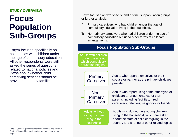## **STUDY OVERVIEW**

## **Focus Population Sub-Groups**

Fraym focused specifically on households with children under the age of compulsory education. All other respondents were still asked the series of questions related to national policies and views about whether child caregiving services should be provided to needy families.

Fraym focused on two specific and distinct subpopulation groups for further analysis.

- (i) Primary caregivers who had children under the age of compulsory education living in the household.
- (ii) Non-primary caregivers who had children under the age of compulsory education but used other forms of childcare arrangements.

#### Adults with children under the age at which compulsory education begins<sup>7</sup> Primary **Caregiver** Non-**Primary Caregiver** Adults who report themselves or their spouse or partner as the primary childcare provider Adults who report using some other type of childcare arrangements rather than parents, including facilities, hired caregivers, relatives, neighbors, or friends Adults who do not have young children living in the household, which are asked about the state of child caregiving in the country and a range of other related topics Adults without young children living in the household **Focus Population Sub-Groups**

Note 1: Schooling is compulsory beginning at age seven in South Africa and Indonesia and at age six in Kenya, India, Nigeria.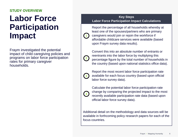## **STUDY OVERVIEW**

## **Labor Force Participation Impact**

Fraym investigated the potential impact of child caregiving policies and programs on labor force participation rates for primary caregiver households.

#### **Key Steps Labor Force Participation Impact Calculations**

Report the percentage of all households whereby at least one of the spouses/partners who are primary caregivers would join or rejoin the workforce if affordable childcare services were available (based upon Fraym survey data results).

**2**

**3**

**1**

Convert this into an absolute number of entrants or reentrants into the labor force by multiplying this percentage figure by the total number of households in the country (based upon national statistics office data).

Report the most recent labor force participation rate available for each focus country (based upon official labor force survey data).

**4**

Calculate the potential labor force participation rate change by comparing the projected impact to the most recently available participation rate data (based upon official labor force survey data).

Additional detail on the methodology and data sources will be available in forthcoming policy research papers for each of the focus countries.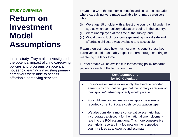## **STUDY OVERVIEW**

## **Return on Investment Model Assumptions**

In this study, Fraym also investigated the potential impact of child caregiving policies and programs on potential household earnings if existing primary caregivers were able to access affordable caregiving services.

Fraym analyzed the economic benefits and costs in a scenario where caregiving were made available for primary caregivers who:

- (i) Were age 18 or older with at least one young child under the age at which compulsory education begins in the country;
- (ii) Were unemployed at the time of the survey; and
- (iii) Would plan to look for income generating work if safe and affordable childcare was available and accessible.

Fraym then estimated how much economic benefit these key caregivers could reasonably expect to earn through entering or reentering the labor force.

Further details will be available in forthcoming policy research papers for each of the focus countries.

#### **Key Assumptions for ROI Calculation**

- For income estimates we apply the average reported earnings by occupation type that the primary caregiver or their spouse/partner reportedly would pursue.
- For childcare cost estimates we apply the average reported current childcare costs by occupation type.
- We also consider a more conservative scenario that incorporates a discount for the national unemployment rate into the ROI assumptions. This more conservative scenario is reported in a footnote on the respective country slides as a lower bound estimate.

<u>Francisco – Maria Humanity 7, matematik</u>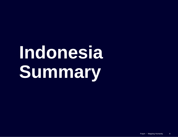# **Indonesia Summary**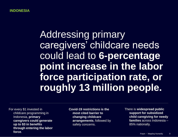## Addressing primary caregivers' childcare needs could lead to **6-percentage point increase in the labor force participation rate, or roughly 13 million people.**

For every \$1 invested in childcare programming in Indonesia, **primary caregivers could generate up to \$3 in benefits through entering the labor force**.

**Covid-19 restrictions is the most cited barrier to changing childcare arrangements**, followed by safety concerns.

There is **widespread public support for subsidized child caregiving for needy families** across Indonesia – 85% nationally.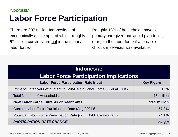## **Labor Force Participation INDONESIA**

There are 207 million Indonesians of economically active age; of which, roughly 67 million currently are not in the national labor force.<sup>1</sup>

Roughly 18% of households have a primary caregiver that would plan to join or rejoin the labor force if affordable childcare services was available.

| Indonesia:                                                               |                   |  |
|--------------------------------------------------------------------------|-------------------|--|
| <b>Labor Force Participation Implications</b>                            |                   |  |
| <b>Labor Force Participation Rate Input</b>                              | <b>Key Figure</b> |  |
| Primary Caregivers with Intent to Join/Rejoin Labor Force (% of all HHs) | 18%               |  |
| 73 million<br><b>Total Number of Households</b>                          |                   |  |
| <b>New Labor Force Entrants or Reentrants</b>                            | 13.1 million      |  |
| Current Labor Force Participation Rate (Aug 2021) <sup>1</sup>           | 67.8%             |  |
| Potential Labor Force Participation Rate (with Childcare Program)        | 74.1%             |  |
| <b>PARTICIPATION RATE CHANGE</b>                                         | 6.3 pp            |  |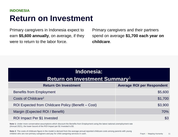## **Return on Investment INDONESIA**

Primary caregivers in Indonesia expect to earn **\$5,600 annually**, on average, if they were to return to the labor force.

Primary caregivers and their partners spend on average **\$1,700 each year on childcare**.

| Indonesia:                                          |                                   |  |
|-----------------------------------------------------|-----------------------------------|--|
| <b>Return on Investment Summary<sup>1</sup></b>     |                                   |  |
| <b>Return On Investment</b>                         | <b>Average ROI per Respondent</b> |  |
| <b>Benefits from Employment</b>                     | \$5,600                           |  |
| Costs of Childcare <sup>2</sup>                     | \$1,700                           |  |
| ROI Expected from Childcare Policy (Benefit – Cost) | \$3,900                           |  |
| Margin (Expected ROI / Benefit)                     | 70%                               |  |
| ROI Impact Per \$1 Invested                         | \$3                               |  |

**Note 1:** Under more conservative assumptions which discount the Benefits from Employment using the latest national unemployment rate (Annual 2021), the lower bound of the ROI Impact per \$1 Invested is \$3.

**Note 2**: The costs of childcare figure in the model is derived from the average annual reported childcare costs among parents with young children who are non-primary caregivers and pay for child caregiving services in cash.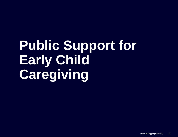# **Public Support for Early Child Caregiving**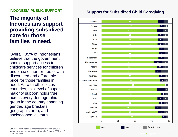## **INDONESIA PUBLIC SUPPORT**

## **The majority of Indonesians support providing subsidized care for those families in need.**

Overall, 85% of Indonesians believe that the government should support access to childcare services for children under six either for free or at a discounted and affordable price for those families in need. As with other focus countries, this level of super majority support holds true across every demographic group in the country spanning gender, age brackets, geographic area, and socioeconomic status.

## **Support for Subsidized Child Caregiving**



**Source**: Fraym nationally representative survey of 5,728 Indonesian adults conducted between 24 January 2022 and 7 February 2022.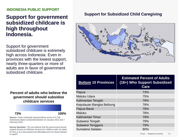#### **INDONESIA PUBLIC SUPPORT**

## **Support for government subsidized childcare is high throughout Indonesia.**

Support for government subsidized childcare is extremely high across Indonesia. Even in provinces with the lowest support, nearly three-quarters or more of adults are in favor of government subsidized childcare.

### **Percent of adults who believe the government should subsidize childcare services**

**73% 100%**

**Source**: Fraym nationally representative survey of 5,728 Indonesian adults conducted between 24 January 2022 and 7 February 2022.

**Survey Question**: **"**Do you believe that the government should support access to childcare services for children under six either for free or at a discounted and affordable price for those families in need?"

## **Support for Subsidized Child Caregiving**



| <b>Bottom 10 Provinces</b> | <b>Estimated Percent of Adults</b><br>(18+) Who Support Subsidized<br>Care |
|----------------------------|----------------------------------------------------------------------------|
| Papua                      | 73%                                                                        |
| <b>Maluku Utara</b>        | 75%                                                                        |
| Kalimantan Tengah          | 78%                                                                        |
| Kepulauan Bangka Belitung  | 78%                                                                        |
| Papua Barat                | 78%                                                                        |
| <b>Maluku</b>              | 78%                                                                        |
| <b>Kalimantan Timur</b>    | 79%                                                                        |
| Sulawesi Tengah            | 79%                                                                        |
| Sulawesi Tenggara          | 79%                                                                        |
| Sumatera Selatan           | 80%                                                                        |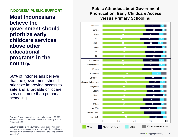### **INDONESIA PUBLIC SUPPORT**

**Most Indonesians believe the government should prioritize early childcare services above other educational programs in the country.**

66% of Indonesians believe that the government should prioritize improving access to safe and affordable childcare services more than primary schooling.

**Source**: Fraym nationally representative survey of 5,728 Indonesian adults conducted between 24 January 2022 and 7 February 2022.

**Survey Question:** "In your view, should the government prioritize improving access to safe and affordable childcare services more or less than the following...providing primary schooling?

## **Public Attitudes about Government Prioritization: Early Childcare Access versus Primary Schooling**